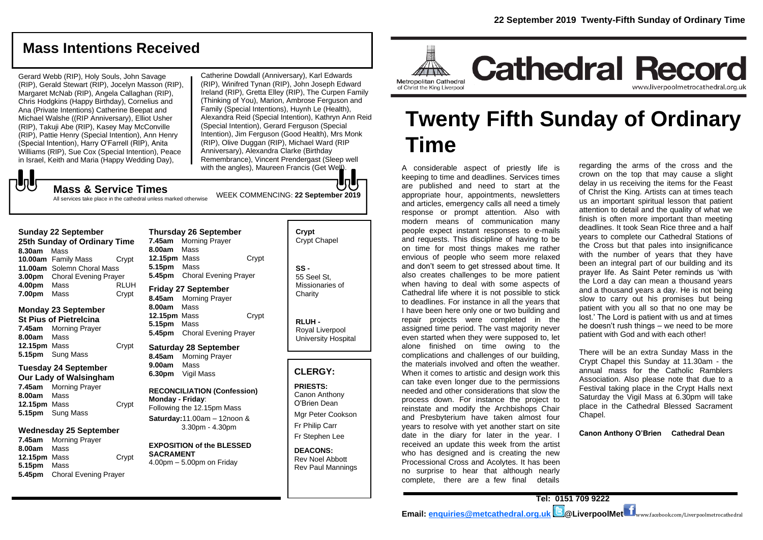# **Mass Intentions Received**

Gerard Webb (RIP), Holy Souls, John Savage (RIP), Gerald Stewart (RIP), Jocelyn Masson (RIP), Margaret McNab (RIP), Angela Callaghan (RIP), Chris Hodgkins (Happy Birthday), Cornelius and Ana (Private Intentions) Catherine Beepat and Michael Walshe ((RIP Anniversary), Elliot Usher (RIP), Takuji Abe (RIP), Kasey May McConville (RIP), Pattie Henry (Special Intention), Ann Henry (Special Intention), Harry O'Farrell (RIP), Anita Williams (RIP), Sue Cox (Special Intention), Peace in Israel, Keith and Maria (Happy Wedding Day),

Catherine Dowdall (Anniversary), Karl Edwards (RIP), Winifred Tynan (RIP), John Joseph Edward Ireland (RIP), Gretta Elley (RIP), The Curpen Family (Thinking of You), Marion, Ambrose Ferguson and Family (Special Intentions), Huynh Le (Health), Alexandra Reid (Special Intention), Kathryn Ann Reid (Special Intention), Gerard Ferguson (Special Intention), Jim Ferguson (Good Health), Mrs Monk (RIP), Olive Duggan (RIP), Michael Ward (RIP Anniversary), Alexandra Clarke (Birthday Remembrance), Vincent Prendergast (Sleep well with the angles), Maureen Francis (Get Well).

WEEK COMMENCING: **22 September 2019**

# **JU**

All services take place in the cathedral unless marked otherwise

**Mass & Service Times**

#### **Sunday 22 September**

**25th Sunday of Ordinary Time 8.30am** Mass **10.00am** Family Mass Crypt **11.00am** Solemn Choral Mass **3.00pm** Choral Evening Prayer **4.00pm** Mass RLUH **7.00pm** Mass Crypt

#### **Monday 23 September St Pius of Pietrelcina 7.45am** Morning Prayer **8.00am** Mass

**12.15pm** Mass Crypt **5.15pm** Sung Mass

#### **Tuesday 24 September Our Lady of Walsingham**

**7.45am** Morning Prayer **8.00am** Mass **12.15pm** Mass Crypt **5.15pm** Sung Mass

#### **Wednesday 25 September**

**7.45am** Morning Prayer **8.00am** Mass **12.15pm** Mass Crypt **5.15pm** Mass **5.45pm** Choral Evening Prayer

#### **Thursday 26 September 7.45am** Morning Prayer **8.00am** Mass **12.15pm** Mass Crypt **5.15pm** Mass **5.45pm** Choral Evening Prayer **Friday 27 September**

**8.45am** Morning Prayer **8.00am** Mass **12.15pm** Mass Crypt **5.15pm** Mass **5.45pm** Choral Evening Prayer

#### **Saturday 28 September 8.45am** Morning Prayer **9.00am** Mass **6.30pm** Vigil Mass

**RECONCILIATION (Confession) Monday - Friday**: Following the 12.15pm Mass

**Saturday:**11.00am – 12noon & 3.30pm - 4.30pm

# **EXPOSITION of the BLESSED SACRAMENT**

4.00pm – 5.00pm on Friday

| Crypt<br><b>Crypt Chapel</b>                      |
|---------------------------------------------------|
| SS -<br>55 Seel St.<br>Missionaries of<br>Charity |

**RLUH -** Royal Liverpool University Hospital

#### **CLERGY:**

**PRIESTS:** Canon Anthony O'Brien *Dean* Mgr Peter Cookson

Fr Philip Carr Fr Stephen Lee

**DEACONS:** Rev Noel Abbott Rev Paul Mannings



# **Twenty Fifth Sunday of Ordinary Time**

A considerable aspect of priestly life is keeping to time and deadlines. Services times are published and need to start at the appropriate hour, appointments, newsletters and articles, emergency calls all need a timely response or prompt attention. Also with modern means of communication many people expect instant responses to e-mails and requests. This discipline of having to be on time for most things makes me rather envious of people who seem more relaxed and don't seem to get stressed about time. It also creates challenges to be more patient when having to deal with some aspects of Cathedral life where it is not possible to stick to deadlines. For instance in all the years that I have been here only one or two building and repair projects were completed in the assigned time period. The vast majority never even started when they were supposed to, let alone finished on time owing to the complications and challenges of our building, the materials involved and often the weather. When it comes to artistic and design work this can take even longer due to the permissions needed and other considerations that slow the process down. For instance the project to reinstate and modify the Archbishops Chair and Presbyterium have taken almost four years to resolve with yet another start on site date in the diary for later in the year. I received an update this week from the artist who has designed and is creating the new Processional Cross and Acolytes. It has been no surprise to hear that although nearly complete, there are a few final details

regarding the arms of the cross and the crown on the top that may cause a slight delay in us receiving the items for the Feast of Christ the King. Artists can at times teach us an important spiritual lesson that patient attention to detail and the quality of what we finish is often more important than meeting deadlines. It took Sean Rice three and a half years to complete our Cathedral Stations of the Cross but that pales into insignificance with the number of years that they have been an integral part of our building and its prayer life. As Saint Peter reminds us 'with the Lord a day can mean a thousand years and a thousand years a day. He is not being slow to carry out his promises but being patient with you all so that no one may be lost.' The Lord is patient with us and at times he doesn't rush things – we need to be more patient with God and with each other!

www.liverpoolmetrocathedral.org.uk

There will be an extra Sunday Mass in the Crypt Chapel this Sunday at 11.30am - the annual mass for the Catholic Ramblers Association. Also please note that due to a Festival taking place in the Crypt Halls next Saturday the Vigil Mass at 6.30pm will take place in the Cathedral Blessed Sacrament Chapel.

**Canon Anthony O'Brien Cathedral Dean**